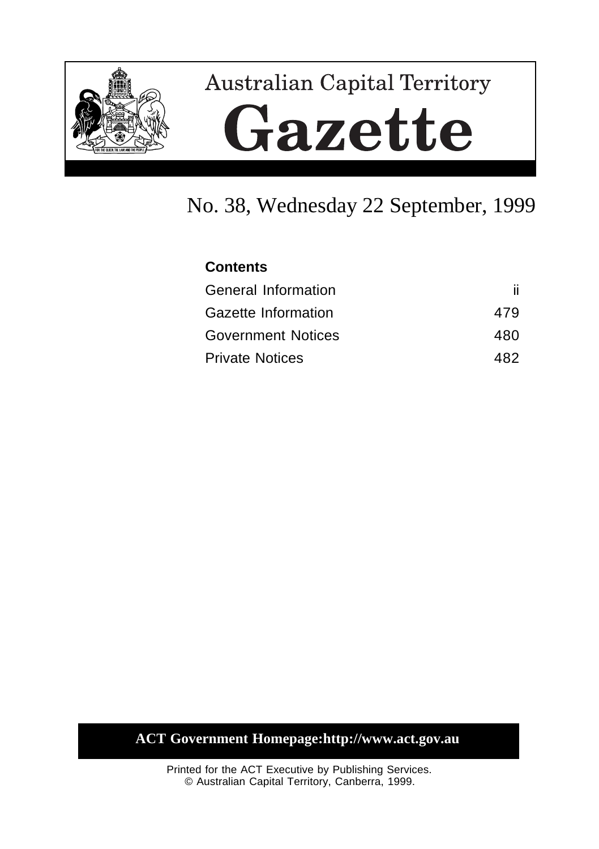

# **Australian Capital Territory** Gazette

# No. 38, Wednesday 22 September, 1999

## **Contents**

| <b>General Information</b> |     |
|----------------------------|-----|
| Gazette Information        | 479 |
| <b>Government Notices</b>  | 480 |
| <b>Private Notices</b>     | 482 |

## **ACT Government Homepage:http://www.act.gov.au**

Printed for the ACT Executive by Publishing Services. © Australian Capital Territory, Canberra, 1999.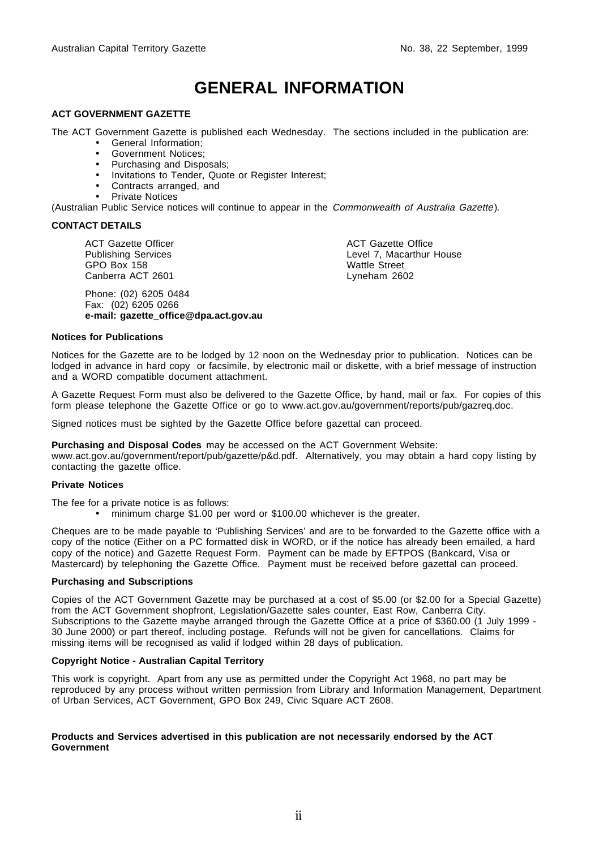# **GENERAL INFORMATION**

#### **ACT GOVERNMENT GAZETTE**

The ACT Government Gazette is published each Wednesday. The sections included in the publication are:

- General Information;
- Government Notices;
- Purchasing and Disposals;
- Invitations to Tender, Quote or Register Interest;
- Contracts arranged, and
- Private Notices

(Australian Public Service notices will continue to appear in the Commonwealth of Australia Gazette).

#### **CONTACT DETAILS**

ACT Gazette Officer Publishing Services GPO Box 158 Canberra ACT 2601

Phone: (02) 6205 0484 Fax: (02) 6205 0266 **e-mail: gazette\_office@dpa.act.gov.au** ACT Gazette Office Level 7, Macarthur House Wattle Street Lyneham 2602

#### **Notices for Publications**

Notices for the Gazette are to be lodged by 12 noon on the Wednesday prior to publication. Notices can be lodged in advance in hard copy or facsimile, by electronic mail or diskette, with a brief message of instruction and a WORD compatible document attachment.

A Gazette Request Form must also be delivered to the Gazette Office, by hand, mail or fax. For copies of this form please telephone the Gazette Office or go to www.act.gov.au/government/reports/pub/gazreq.doc.

Signed notices must be sighted by the Gazette Office before gazettal can proceed.

**Purchasing and Disposal Codes** may be accessed on the ACT Government Website:

www.act.gov.au/government/report/pub/gazette/p&d.pdf. Alternatively, you may obtain a hard copy listing by contacting the gazette office.

#### **Private Notices**

The fee for a private notice is as follows:

• minimum charge \$1.00 per word or \$100.00 whichever is the greater.

Cheques are to be made payable to 'Publishing Services' and are to be forwarded to the Gazette office with a copy of the notice (Either on a PC formatted disk in WORD, or if the notice has already been emailed, a hard copy of the notice) and Gazette Request Form. Payment can be made by EFTPOS (Bankcard, Visa or Mastercard) by telephoning the Gazette Office. Payment must be received before gazettal can proceed.

#### **Purchasing and Subscriptions**

Copies of the ACT Government Gazette may be purchased at a cost of \$5.00 (or \$2.00 for a Special Gazette) from the ACT Government shopfront, Legislation/Gazette sales counter, East Row, Canberra City. Subscriptions to the Gazette maybe arranged through the Gazette Office at a price of \$360.00 (1 July 1999 - 30 June 2000) or part thereof, including postage. Refunds will not be given for cancellations. Claims for missing items will be recognised as valid if lodged within 28 days of publication.

#### **Copyright Notice - Australian Capital Territory**

This work is copyright. Apart from any use as permitted under the Copyright Act 1968, no part may be reproduced by any process without written permission from Library and Information Management, Department of Urban Services, ACT Government, GPO Box 249, Civic Square ACT 2608.

#### **Products and Services advertised in this publication are not necessarily endorsed by the ACT Government**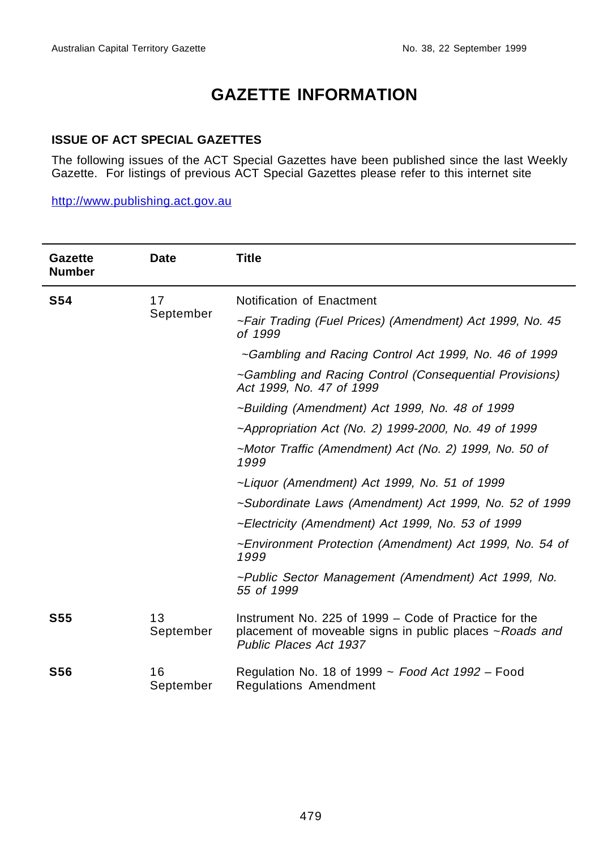# **GAZETTE INFORMATION**

## **ISSUE OF ACT SPECIAL GAZETTES**

The following issues of the ACT Special Gazettes have been published since the last Weekly Gazette. For listings of previous ACT Special Gazettes please refer to this internet site

http://www.publishing.act.gov.au

| Gazette<br><b>Number</b> | Date            | <b>Title</b>                                                                                                                                       |
|--------------------------|-----------------|----------------------------------------------------------------------------------------------------------------------------------------------------|
| <b>S54</b>               | 17<br>September | Notification of Enactment                                                                                                                          |
|                          |                 | ~Fair Trading (Fuel Prices) (Amendment) Act 1999, No. 45<br>of 1999                                                                                |
|                          |                 | ~Gambling and Racing Control Act 1999, No. 46 of 1999                                                                                              |
|                          |                 | ~Gambling and Racing Control (Consequential Provisions)<br>Act 1999, No. 47 of 1999                                                                |
|                          |                 | ~Building (Amendment) Act 1999, No. 48 of 1999                                                                                                     |
|                          |                 | ~Appropriation Act (No. 2) 1999-2000, No. 49 of 1999                                                                                               |
|                          |                 | ~Motor Traffic (Amendment) Act (No. 2) 1999, No. 50 of<br>1999                                                                                     |
|                          |                 | ~Liquor (Amendment) Act 1999, No. 51 of 1999                                                                                                       |
|                          |                 | ~Subordinate Laws (Amendment) Act 1999, No. 52 of 1999                                                                                             |
|                          |                 | ~Electricity (Amendment) Act 1999, No. 53 of 1999                                                                                                  |
|                          |                 | ~Environment Protection (Amendment) Act 1999, No. 54 of<br>1999                                                                                    |
|                          |                 | ~Public Sector Management (Amendment) Act 1999, No.<br>55 of 1999                                                                                  |
| <b>S55</b>               | 13<br>September | Instrument No. 225 of 1999 – Code of Practice for the<br>placement of moveable signs in public places ~ Roads and<br><b>Public Places Act 1937</b> |
| <b>S56</b>               | 16<br>September | Regulation No. 18 of 1999 ~ Food Act 1992 - Food<br><b>Regulations Amendment</b>                                                                   |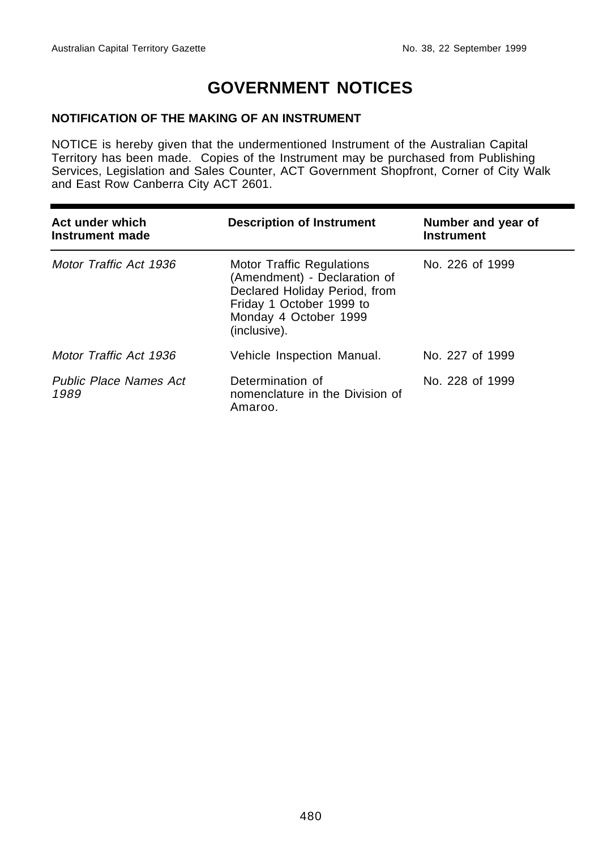# **GOVERNMENT NOTICES**

### **NOTIFICATION OF THE MAKING OF AN INSTRUMENT**

NOTICE is hereby given that the undermentioned Instrument of the Australian Capital Territory has been made. Copies of the Instrument may be purchased from Publishing Services, Legislation and Sales Counter, ACT Government Shopfront, Corner of City Walk and East Row Canberra City ACT 2601.

| Act under which<br>Instrument made    | <b>Description of Instrument</b>                                                                                                                                | Number and year of<br><b>Instrument</b> |
|---------------------------------------|-----------------------------------------------------------------------------------------------------------------------------------------------------------------|-----------------------------------------|
| Motor Traffic Act 1936                | Motor Traffic Regulations<br>(Amendment) - Declaration of<br>Declared Holiday Period, from<br>Friday 1 October 1999 to<br>Monday 4 October 1999<br>(inclusive). | No. 226 of 1999                         |
| Motor Traffic Act 1936                | Vehicle Inspection Manual.                                                                                                                                      | No. 227 of 1999                         |
| <b>Public Place Names Act</b><br>1989 | Determination of<br>nomenclature in the Division of<br>Amaroo.                                                                                                  | No. 228 of 1999                         |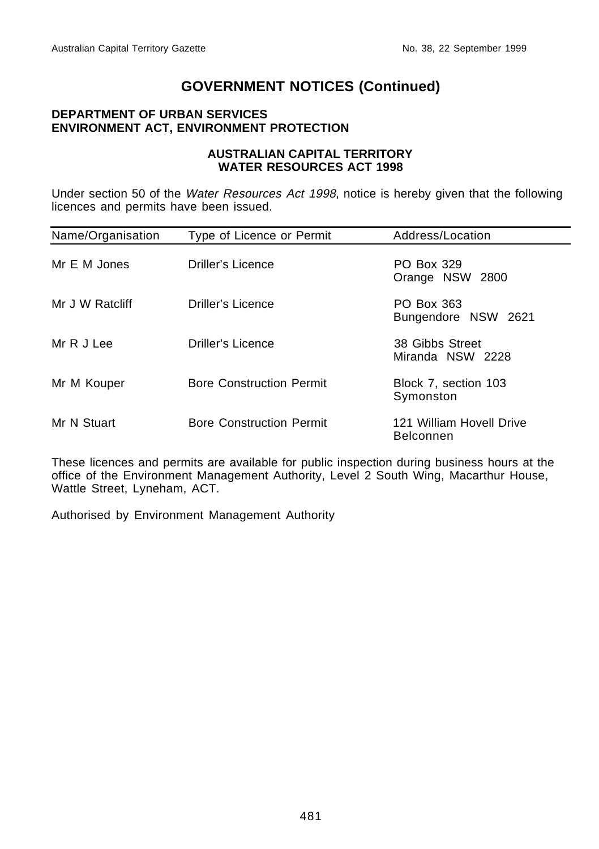## **GOVERNMENT NOTICES (Continued)**

## **DEPARTMENT OF URBAN SERVICES ENVIRONMENT ACT, ENVIRONMENT PROTECTION**

#### **AUSTRALIAN CAPITAL TERRITORY WATER RESOURCES ACT 1998**

Under section 50 of the Water Resources Act 1998, notice is hereby given that the following licences and permits have been issued.

| Name/Organisation | Type of Licence or Permit       | Address/Location                             |
|-------------------|---------------------------------|----------------------------------------------|
| Mr E M Jones      | Driller's Licence               | PO Box 329<br>Orange NSW 2800                |
| Mr J W Ratcliff   | Driller's Licence               | PO Box 363<br>Bungendore NSW 2621            |
| Mr R J Lee        | Driller's Licence               | 38 Gibbs Street<br>Miranda NSW 2228          |
| Mr M Kouper       | <b>Bore Construction Permit</b> | Block 7, section 103<br>Symonston            |
| Mr N Stuart       | <b>Bore Construction Permit</b> | 121 William Hovell Drive<br><b>Belconnen</b> |

These licences and permits are available for public inspection during business hours at the office of the Environment Management Authority, Level 2 South Wing, Macarthur House, Wattle Street, Lyneham, ACT.

Authorised by Environment Management Authority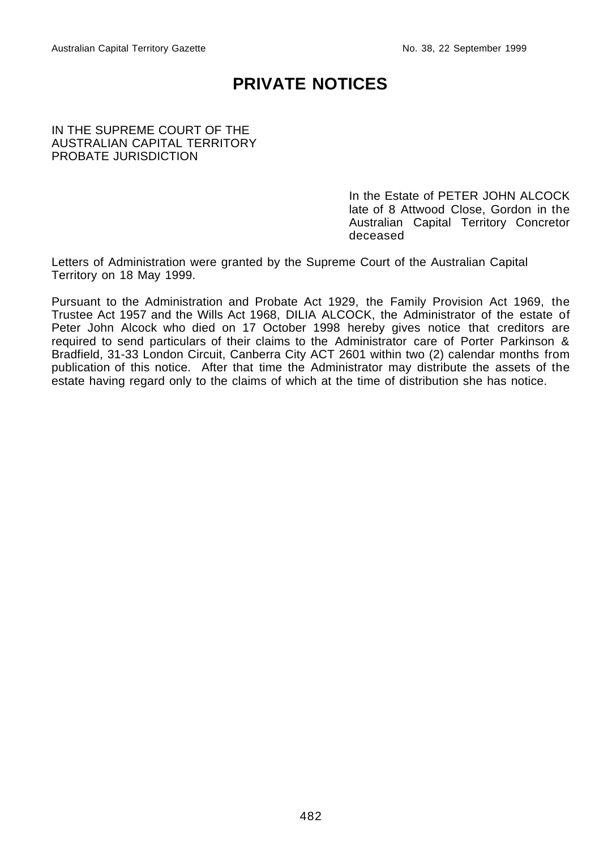# **PRIVATE NOTICES**

#### IN THE SUPREME COURT OF THE AUSTRALIAN CAPITAL TERRITORY PROBATE JURISDICTION

In the Estate of PETER JOHN ALCOCK late of 8 Attwood Close, Gordon in the Australian Capital Territory Concretor deceased

Letters of Administration were granted by the Supreme Court of the Australian Capital Territory on 18 May 1999.

Pursuant to the Administration and Probate Act 1929, the Family Provision Act 1969, the Trustee Act 1957 and the Wills Act 1968, DILIA ALCOCK, the Administrator of the estate of Peter John Alcock who died on 17 October 1998 hereby gives notice that creditors are required to send particulars of their claims to the Administrator care of Porter Parkinson & Bradfield, 31-33 London Circuit, Canberra City ACT 2601 within two (2) calendar months from publication of this notice. After that time the Administrator may distribute the assets of the estate having regard only to the claims of which at the time of distribution she has notice.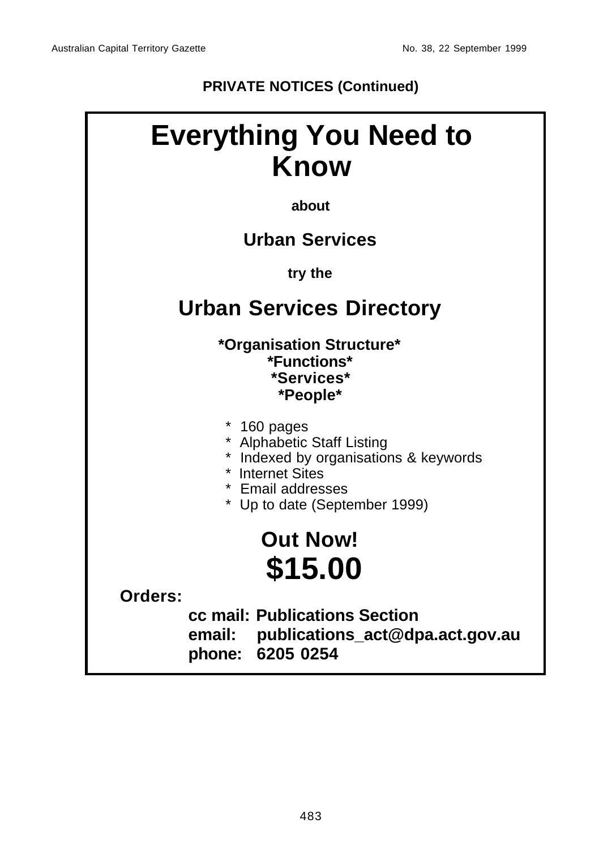## **PRIVATE NOTICES (Continued)**